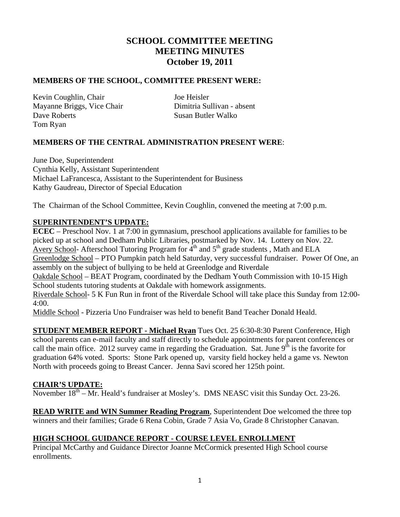# **SCHOOL COMMITTEE MEETING MEETING MINUTES October 19, 2011**

#### **MEMBERS OF THE SCHOOL, COMMITTEE PRESENT WERE:**

Kevin Coughlin, Chair Joe Heisler Mayanne Briggs, Vice Chair Dimitria Sullivan - absent **Dave Roberts** Susan Butler Walko Tom Ryan

#### **MEMBERS OF THE CENTRAL ADMINISTRATION PRESENT WERE**:

June Doe, Superintendent Cynthia Kelly, Assistant Superintendent Michael LaFrancesca, Assistant to the Superintendent for Business Kathy Gaudreau, Director of Special Education

The Chairman of the School Committee, Kevin Coughlin, convened the meeting at 7:00 p.m.

#### **SUPERINTENDENT'S UPDATE:**

**ECEC** – Preschool Nov. 1 at 7:00 in gymnasium, preschool applications available for families to be picked up at school and Dedham Public Libraries, postmarked by Nov. 14. Lottery on Nov. 22. Avery School- Afterschool Tutoring Program for  $4<sup>th</sup>$  and  $5<sup>th</sup>$  grade students , Math and ELA Greenlodge School – PTO Pumpkin patch held Saturday, very successful fundraiser. Power Of One, an assembly on the subject of bullying to be held at Greenlodge and Riverdale

Oakdale School – BEAT Program, coordinated by the Dedham Youth Commission with 10-15 High School students tutoring students at Oakdale with homework assignments.

Riverdale School- 5 K Fun Run in front of the Riverdale School will take place this Sunday from 12:00- 4:00.

Middle School - Pizzeria Uno Fundraiser was held to benefit Band Teacher Donald Heald.

**STUDENT MEMBER REPORT - Michael Ryan** Tues Oct. 25 6:30-8:30 Parent Conference, High school parents can e-mail faculty and staff directly to schedule appointments for parent conferences or call the main office. 2012 survey came in regarding the Graduation. Sat. June  $9<sup>th</sup>$  is the favorite for graduation 64% voted. Sports: Stone Park opened up, varsity field hockey held a game vs. Newton North with proceeds going to Breast Cancer. Jenna Savi scored her 125th point.

#### **CHAIR'S UPDATE:**

November  $18<sup>th</sup> - Mr. Headd's fundraiser at Mosley's. DMS NEASC visit this Sunday Oct. 23-26.$ 

**READ WRITE and WIN Summer Reading Program**, Superintendent Doe welcomed the three top winners and their families; Grade 6 Rena Cobin, Grade 7 Asia Vo, Grade 8 Christopher Canavan.

#### **HIGH SCHOOL GUIDANCE REPORT - COURSE LEVEL ENROLLMENT**

Principal McCarthy and Guidance Director Joanne McCormick presented High School course enrollments.